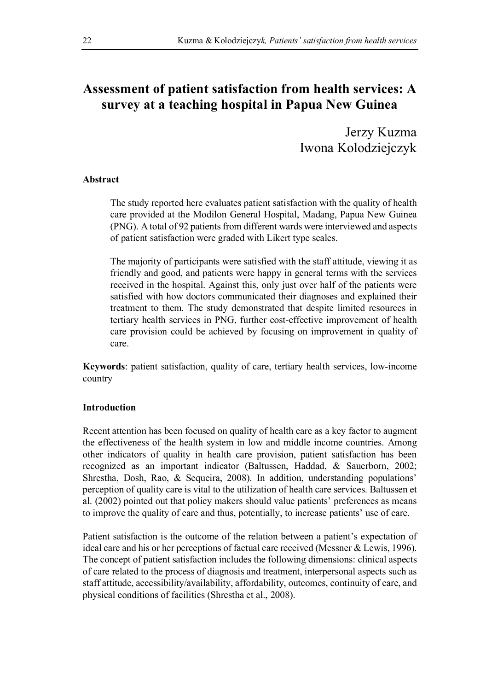# **Assessment of patient satisfaction from health services: A survey at a teaching hospital in Papua New Guinea**

Jerzy Kuzma Iwona Kolodziejczyk

## **Abstract**

The study reported here evaluates patient satisfaction with the quality of health care provided at the Modilon General Hospital, Madang, Papua New Guinea (PNG). A total of 92 patients from different wards were interviewed and aspects of patient satisfaction were graded with Likert type scales.

The majority of participants were satisfied with the staff attitude, viewing it as friendly and good, and patients were happy in general terms with the services received in the hospital. Against this, only just over half of the patients were satisfied with how doctors communicated their diagnoses and explained their treatment to them. The study demonstrated that despite limited resources in tertiary health services in PNG, further cost-effective improvement of health care provision could be achieved by focusing on improvement in quality of care.

**Keywords**: patient satisfaction, quality of care, tertiary health services, low-income country

## **Introduction**

Recent attention has been focused on quality of health care as a key factor to augment the effectiveness of the health system in low and middle income countries. Among other indicators of quality in health care provision, patient satisfaction has been recognized as an important indicator (Baltussen, Haddad, & Sauerborn, 2002; Shrestha, Dosh, Rao, & Sequeira, 2008). In addition, understanding populations' perception of quality care is vital to the utilization of health care services. Baltussen et al. (2002) pointed out that policy makers should value patients' preferences as means to improve the quality of care and thus, potentially, to increase patients' use of care.

Patient satisfaction is the outcome of the relation between a patient's expectation of ideal care and his or her perceptions of factual care received (Messner & Lewis, 1996). The concept of patient satisfaction includes the following dimensions: clinical aspects of care related to the process of diagnosis and treatment, interpersonal aspects such as staff attitude, accessibility/availability, affordability, outcomes, continuity of care, and physical conditions of facilities (Shrestha et al., 2008).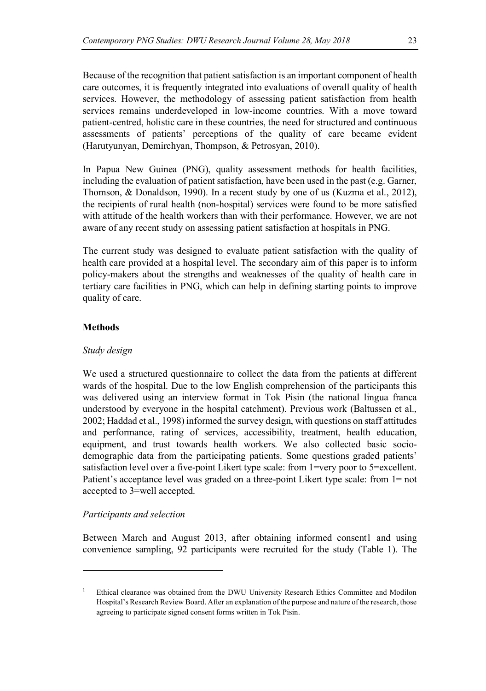Because of the recognition that patient satisfaction is an important component of health care outcomes, it is frequently integrated into evaluations of overall quality of health services. However, the methodology of assessing patient satisfaction from health services remains underdeveloped in low-income countries. With a move toward patient-centred, holistic care in these countries, the need for structured and continuous assessments of patients' perceptions of the quality of care became evident (Harutyunyan, Demirchyan, Thompson, & Petrosyan, 2010).

In Papua New Guinea (PNG), quality assessment methods for health facilities, including the evaluation of patient satisfaction, have been used in the past (e.g. Garner, Thomson, & Donaldson, 1990). In a recent study by one of us (Kuzma et al., 2012), the recipients of rural health (non-hospital) services were found to be more satisfied with attitude of the health workers than with their performance. However, we are not aware of any recent study on assessing patient satisfaction at hospitals in PNG.

The current study was designed to evaluate patient satisfaction with the quality of health care provided at a hospital level. The secondary aim of this paper is to inform policy-makers about the strengths and weaknesses of the quality of health care in tertiary care facilities in PNG, which can help in defining starting points to improve quality of care.

#### **Methods**

### *Study design*

We used a structured questionnaire to collect the data from the patients at different wards of the hospital. Due to the low English comprehension of the participants this was delivered using an interview format in Tok Pisin (the national lingua franca understood by everyone in the hospital catchment). Previous work (Baltussen et al., 2002; Haddad et al., 1998) informed the survey design, with questions on staff attitudes and performance, rating of services, accessibility, treatment, health education, equipment, and trust towards health workers. We also collected basic sociodemographic data from the participating patients. Some questions graded patients' satisfaction level over a five-point Likert type scale: from 1=very poor to 5=excellent. Patient's acceptance level was graded on a three-point Likert type scale: from 1= not accepted to 3=well accepted.

#### *Participants and selection*

l

Between March and August 2013, after obtaining informed consent1 and using convenience sampling, 92 participants were recruited for the study (Table 1). The

<sup>1</sup> Ethical clearance was obtained from the DWU University Research Ethics Committee and Modilon Hospital's Research Review Board. After an explanation of the purpose and nature of the research, those agreeing to participate signed consent forms written in Tok Pisin.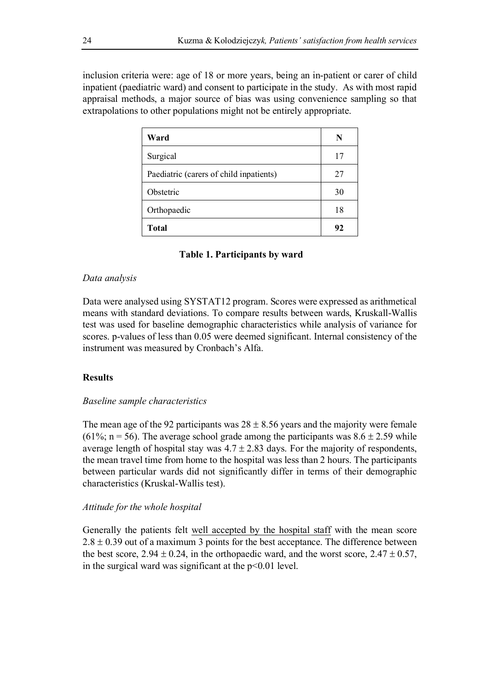inclusion criteria were: age of 18 or more years, being an in-patient or carer of child inpatient (paediatric ward) and consent to participate in the study. As with most rapid appraisal methods, a major source of bias was using convenience sampling so that extrapolations to other populations might not be entirely appropriate.

| Ward                                    | N  |
|-----------------------------------------|----|
| Surgical                                | 17 |
| Paediatric (carers of child inpatients) | 27 |
| Obstetric                               | 30 |
| Orthopaedic                             | 18 |
| <b>Total</b>                            | 92 |

## **Table 1. Participants by ward**

### *Data analysis*

Data were analysed using SYSTAT12 program. Scores were expressed as arithmetical means with standard deviations. To compare results between wards, Kruskall-Wallis test was used for baseline demographic characteristics while analysis of variance for scores. p-values of less than 0.05 were deemed significant. Internal consistency of the instrument was measured by Cronbach's Alfa.

## **Results**

### *Baseline sample characteristics*

The mean age of the 92 participants was  $28 \pm 8.56$  years and the majority were female (61%; n = 56). The average school grade among the participants was  $8.6 \pm 2.59$  while average length of hospital stay was  $4.7 \pm 2.83$  days. For the majority of respondents, the mean travel time from home to the hospital was less than 2 hours. The participants between particular wards did not significantly differ in terms of their demographic characteristics (Kruskal-Wallis test).

## *Attitude for the whole hospital*

Generally the patients felt well accepted by the hospital staff with the mean score  $2.8 \pm 0.39$  out of a maximum 3 points for the best acceptance. The difference between the best score,  $2.94 \pm 0.24$ , in the orthopaedic ward, and the worst score,  $2.47 \pm 0.57$ , in the surgical ward was significant at the  $p<0.01$  level.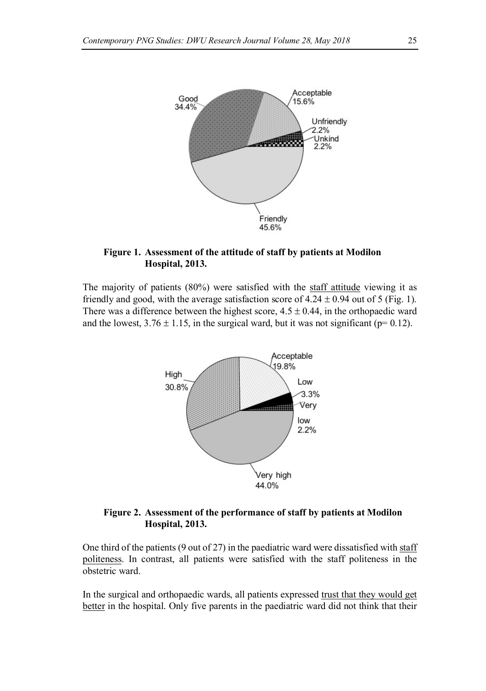

## **Figure 1. Assessment of the attitude of staff by patients at Modilon Hospital, 2013.**

The majority of patients (80%) were satisfied with the staff attitude viewing it as friendly and good, with the average satisfaction score of  $4.24 \pm 0.94$  out of 5 (Fig. 1). There was a difference between the highest score,  $4.5 \pm 0.44$ , in the orthopaedic ward and the lowest,  $3.76 \pm 1.15$ , in the surgical ward, but it was not significant (p= 0.12).



## **Figure 2. Assessment of the performance of staff by patients at Modilon Hospital, 2013.**

One third of the patients (9 out of 27) in the paediatric ward were dissatisfied with staff politeness. In contrast, all patients were satisfied with the staff politeness in the obstetric ward.

In the surgical and orthopaedic wards, all patients expressed trust that they would get better in the hospital. Only five parents in the paediatric ward did not think that their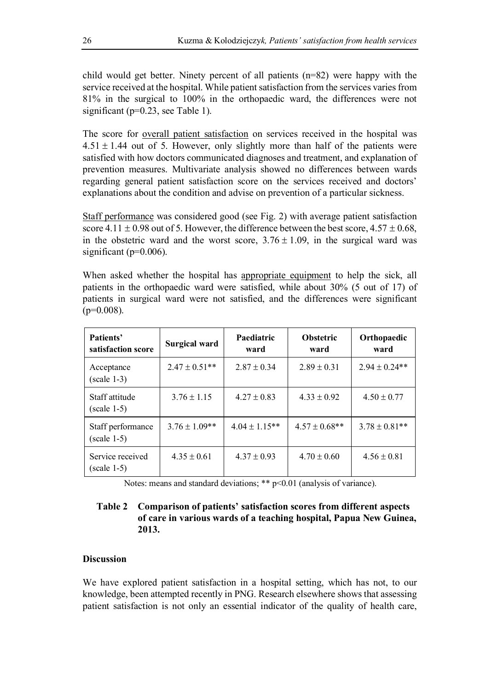child would get better. Ninety percent of all patients (n=82) were happy with the service received at the hospital. While patient satisfaction from the services varies from 81% in the surgical to 100% in the orthopaedic ward, the differences were not significant (p=0.23, see Table 1).

The score for overall patient satisfaction on services received in the hospital was  $4.51 \pm 1.44$  out of 5. However, only slightly more than half of the patients were satisfied with how doctors communicated diagnoses and treatment, and explanation of prevention measures. Multivariate analysis showed no differences between wards regarding general patient satisfaction score on the services received and doctors' explanations about the condition and advise on prevention of a particular sickness.

Staff performance was considered good (see Fig. 2) with average patient satisfaction score 4.11  $\pm$  0.98 out of 5. However, the difference between the best score, 4.57  $\pm$  0.68, in the obstetric ward and the worst score,  $3.76 \pm 1.09$ , in the surgical ward was significant ( $p=0.006$ ).

When asked whether the hospital has appropriate equipment to help the sick, all patients in the orthopaedic ward were satisfied, while about 30% (5 out of 17) of patients in surgical ward were not satisfied, and the differences were significant  $(p=0.008)$ .

| Patients'<br>satisfaction score    | Surgical ward     | Paediatric<br>ward | <b>Obstetric</b><br>ward | Orthopaedic<br>ward |
|------------------------------------|-------------------|--------------------|--------------------------|---------------------|
| Acceptance<br>$(scale 1-3)$        | $2.47 \pm 0.51**$ | $2.87 \pm 0.34$    | $2.89 \pm 0.31$          | $2.94 \pm 0.24**$   |
| Staff attitude<br>$(scale 1-5)$    | $3.76 \pm 1.15$   | $4.27 \pm 0.83$    | $4.33 \pm 0.92$          | $4.50 \pm 0.77$     |
| Staff performance<br>$(scale 1-5)$ | $3.76 \pm 1.09**$ | $4.04 \pm 1.15**$  | $4.57 \pm 0.68$ **       | $3.78 \pm 0.81**$   |
| Service received<br>$(scale 1-5)$  | $4.35 \pm 0.61$   | $4.37 \pm 0.93$    | $4.70 \pm 0.60$          | $4.56 \pm 0.81$     |

Notes: means and standard deviations; \*\* p<0.01 (analysis of variance).

## **Table 2 Comparison of patients' satisfaction scores from different aspects of care in various wards of a teaching hospital, Papua New Guinea, 2013.**

### **Discussion**

We have explored patient satisfaction in a hospital setting, which has not, to our knowledge, been attempted recently in PNG. Research elsewhere shows that assessing patient satisfaction is not only an essential indicator of the quality of health care,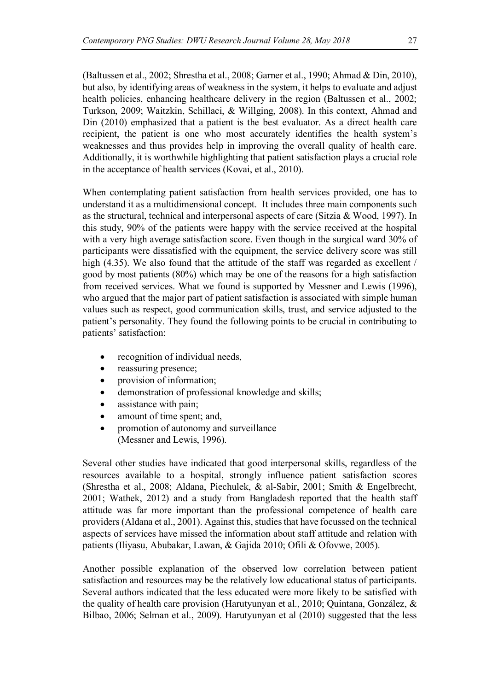(Baltussen et al., 2002; Shrestha et al., 2008; Garner et al., 1990; Ahmad & Din, 2010), but also, by identifying areas of weakness in the system, it helps to evaluate and adjust health policies, enhancing healthcare delivery in the region (Baltussen et al., 2002; Turkson, 2009; Waitzkin, Schillaci, & Willging, 2008). In this context, Ahmad and Din (2010) emphasized that a patient is the best evaluator. As a direct health care recipient, the patient is one who most accurately identifies the health system's weaknesses and thus provides help in improving the overall quality of health care. Additionally, it is worthwhile highlighting that patient satisfaction plays a crucial role in the acceptance of health services (Kovai, et al., 2010).

When contemplating patient satisfaction from health services provided, one has to understand it as a multidimensional concept. It includes three main components such as the structural, technical and interpersonal aspects of care (Sitzia & Wood, 1997). In this study, 90% of the patients were happy with the service received at the hospital with a very high average satisfaction score. Even though in the surgical ward 30% of participants were dissatisfied with the equipment, the service delivery score was still high (4.35). We also found that the attitude of the staff was regarded as excellent / good by most patients (80%) which may be one of the reasons for a high satisfaction from received services. What we found is supported by Messner and Lewis (1996), who argued that the major part of patient satisfaction is associated with simple human values such as respect, good communication skills, trust, and service adjusted to the patient's personality. They found the following points to be crucial in contributing to patients' satisfaction:

- recognition of individual needs,
- reassuring presence;
- provision of information;
- demonstration of professional knowledge and skills;
- assistance with pain;
- amount of time spent; and,
- promotion of autonomy and surveillance (Messner and Lewis, 1996).

Several other studies have indicated that good interpersonal skills, regardless of the resources available to a hospital, strongly influence patient satisfaction scores (Shrestha et al., 2008; Aldana, Piechulek, & al-Sabir, 2001; Smith & Engelbrecht, 2001; Wathek, 2012) and a study from Bangladesh reported that the health staff attitude was far more important than the professional competence of health care providers (Aldana et al., 2001). Against this, studies that have focussed on the technical aspects of services have missed the information about staff attitude and relation with patients (Iliyasu, Abubakar, Lawan, & Gajida 2010; Ofili & Ofovwe, 2005).

Another possible explanation of the observed low correlation between patient satisfaction and resources may be the relatively low educational status of participants. Several authors indicated that the less educated were more likely to be satisfied with the quality of health care provision (Harutyunyan et al., 2010; Quintana, González, & Bilbao, 2006; Selman et al., 2009). Harutyunyan et al (2010) suggested that the less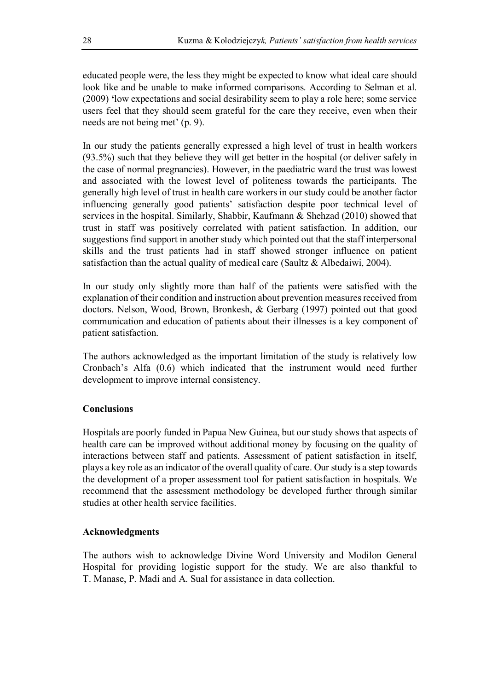educated people were, the less they might be expected to know what ideal care should look like and be unable to make informed comparisons. According to Selman et al. (2009) **'**low expectations and social desirability seem to play a role here; some service users feel that they should seem grateful for the care they receive, even when their needs are not being met' (p. 9).

In our study the patients generally expressed a high level of trust in health workers (93.5%) such that they believe they will get better in the hospital (or deliver safely in the case of normal pregnancies). However, in the paediatric ward the trust was lowest and associated with the lowest level of politeness towards the participants. The generally high level of trust in health care workers in our study could be another factor influencing generally good patients' satisfaction despite poor technical level of services in the hospital. Similarly, Shabbir, Kaufmann & Shehzad (2010) showed that trust in staff was positively correlated with patient satisfaction. In addition, our suggestions find support in another study which pointed out that the staff interpersonal skills and the trust patients had in staff showed stronger influence on patient satisfaction than the actual quality of medical care (Saultz & Albedaiwi, 2004).

In our study only slightly more than half of the patients were satisfied with the explanation of their condition and instruction about prevention measures received from doctors. Nelson, Wood, Brown, Bronkesh, & Gerbarg (1997) pointed out that good communication and education of patients about their illnesses is a key component of patient satisfaction.

The authors acknowledged as the important limitation of the study is relatively low Cronbach's Alfa (0.6) which indicated that the instrument would need further development to improve internal consistency.

## **Conclusions**

Hospitals are poorly funded in Papua New Guinea, but our study shows that aspects of health care can be improved without additional money by focusing on the quality of interactions between staff and patients. Assessment of patient satisfaction in itself, plays a key role as an indicator of the overall quality of care. Our study is a step towards the development of a proper assessment tool for patient satisfaction in hospitals. We recommend that the assessment methodology be developed further through similar studies at other health service facilities.

## **Acknowledgments**

The authors wish to acknowledge Divine Word University and Modilon General Hospital for providing logistic support for the study. We are also thankful to T. Manase, P. Madi and A. Sual for assistance in data collection.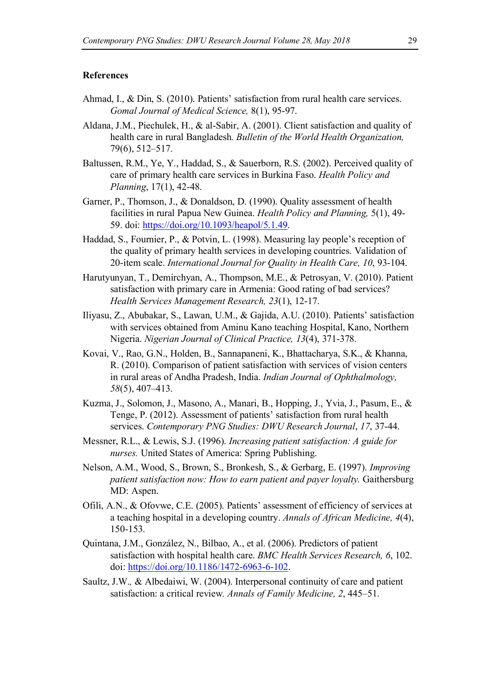#### **References**

- Ahmad, I., & Din, S. (2010). Patients' satisfaction from rural health care services. *Gomal Journal of Medical Science,* 8(1), 95-97.
- Aldana, J.M., Piechulek, H., & al-Sabir, A. (2001). Client satisfaction and quality of health care in rural Bangladesh*. Bulletin of the World Health Organization,* 79(6), 512–517.
- Baltussen, R.M., Ye, Y., Haddad, S., & Sauerborn, R.S. (2002). Perceived quality of care of primary health care services in Burkina Faso. *Health Policy and Planning*, 17(1), 42-48.
- Garner, P., Thomson, J., & Donaldson, D. (1990). Quality assessment of health facilities in rural Papua New Guinea. *Health Policy and Planning,* 5(1), 49- 59. doi: https://doi.org/10.1093/heapol/5.1.49.
- Haddad, S., Fournier, P., & Potvin, L. (1998). Measuring lay people's reception of the quality of primary health services in developing countries. Validation of 20-item scale. *International Journal for Quality in Health Care, 10*, 93-104.
- Harutyunyan, T., Demirchyan, A., Thompson, M.E., & Petrosyan, V. (2010). Patient satisfaction with primary care in Armenia: Good rating of bad services? *Health Services Management Research, 23*(1), 12-17.
- Iliyasu, Z., Abubakar, S., Lawan, U.M., & Gajida, A.U. (2010). Patients' satisfaction with services obtained from Aminu Kano teaching Hospital, Kano, Northern Nigeria. *Nigerian Journal of Clinical Practice, 13*(4), 371-378.
- Kovai, V., Rao, G.N., Holden, B., Sannapaneni, K., Bhattacharya, S.K., & Khanna, R. (2010). Comparison of patient satisfaction with services of vision centers in rural areas of Andha Pradesh, India. *Indian Journal of Ophthalmology, 58*(5), 407–413.
- Kuzma, J., Solomon, J., Masono, A., Manari, B., Hopping, J., Yvia, J., Pasum, E., & Tenge, P. (2012). Assessment of patients' satisfaction from rural health services. *Contemporary PNG Studies: DWU Research Journal*, *17*, 37-44.
- Messner, R.L., & Lewis, S.J. (1996). *Increasing patient satisfaction: A guide for nurses.* United States of America: Spring Publishing.
- Nelson, A.M., Wood, S., Brown, S., Bronkesh, S., & Gerbarg, E. (1997). *Improving patient satisfaction now: How to earn patient and payer loyalty.* Gaithersburg MD: Aspen.
- Ofili, A.N., & Ofovwe, C.E. (2005). Patients' assessment of efficiency of services at a teaching hospital in a developing country. *Annals of African Medicine, 4*(4), 150-153.
- Quintana, J.M., González, N., Bilbao, A., et al. (2006). Predictors of patient satisfaction with hospital health care. *BMC Health Services Research, 6*, 102. doi: https://doi.org/10.1186/1472-6963-6-102.
- Saultz, J.W.*,* & Albedaiwi, W. (2004). Interpersonal continuity of care and patient satisfaction: a critical review*. Annals of Family Medicine, 2*, 445*–*51.